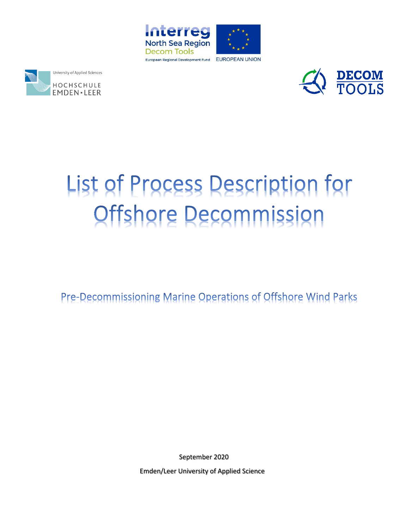





# List of Process Description for Offshore Decommission

Pre-Decommissioning Marine Operations of Offshore Wind Parks

September 2020

Emden/Leer University of Applied Science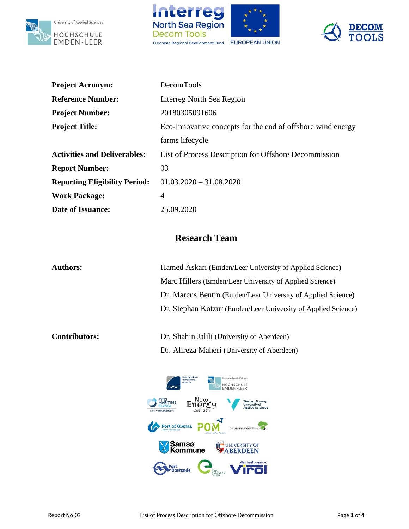





| <b>Project Acronym:</b>              | DecomTools                                                  |
|--------------------------------------|-------------------------------------------------------------|
| <b>Reference Number:</b>             | <b>Interreg North Sea Region</b>                            |
| <b>Project Number:</b>               | 20180305091606                                              |
| <b>Project Title:</b>                | Eco-Innovative concepts for the end of offshore wind energy |
|                                      | farms lifecycle                                             |
| <b>Activities and Deliverables:</b>  | List of Process Description for Offshore Decommission       |
| <b>Report Number:</b>                | 03                                                          |
| <b>Reporting Eligibility Period:</b> | $01.03.2020 - 31.08.2020$                                   |
| <b>Work Package:</b>                 | 4                                                           |
| <b>Date of Issuance:</b>             | 25.09.2020                                                  |

## **Research Team**

| <b>Authors:</b>      | Hamed Askari (Emden/Leer University of Applied Science)       |
|----------------------|---------------------------------------------------------------|
|                      | Marc Hillers (Emden/Leer University of Applied Science)       |
|                      | Dr. Marcus Bentin (Emden/Leer University of Applied Science)  |
|                      | Dr. Stephan Kotzur (Emden/Leer University of Applied Science) |
|                      |                                                               |
| <b>Contributors:</b> | Dr. Shahin Jalili (University of Aberdeen)                    |

HOCHSCHULE Enerry **WARITIME** Western Norway<br>University of<br>Applied Sciences Coalitie Port of Grenaa **POM**  $\overline{G}$ De Lauwershorst Gro **Samsø**<br>**X** Kommune **EXAMPLE STATE** 

Dr. Alireza Maheri (University of Aberdeen)

alles heeft waarde.



Port<br>Oostende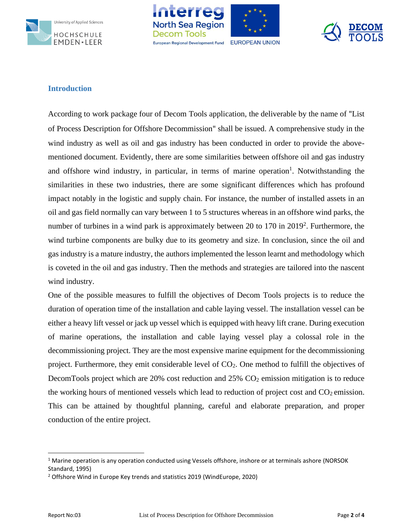





### **Introduction**

According to work package four of Decom Tools application, the deliverable by the name of "List of Process Description for Offshore Decommission" shall be issued. A comprehensive study in the wind industry as well as oil and gas industry has been conducted in order to provide the abovementioned document. Evidently, there are some similarities between offshore oil and gas industry and offshore wind industry, in particular, in terms of marine operation<sup>1</sup>. Notwithstanding the similarities in these two industries, there are some significant differences which has profound impact notably in the logistic and supply chain. For instance, the number of installed assets in an oil and gas field normally can vary between 1 to 5 structures whereas in an offshore wind parks, the number of turbines in a wind park is approximately between 20 to 170 in 2019<sup>2</sup>. Furthermore, the wind turbine components are bulky due to its geometry and size. In conclusion, since the oil and gas industry is a mature industry, the authors implemented the lesson learnt and methodology which is coveted in the oil and gas industry. Then the methods and strategies are tailored into the nascent wind industry.

One of the possible measures to fulfill the objectives of Decom Tools projects is to reduce the duration of operation time of the installation and cable laying vessel. The installation vessel can be either a heavy lift vessel or jack up vessel which is equipped with heavy lift crane. During execution of marine operations, the installation and cable laying vessel play a colossal role in the decommissioning project. They are the most expensive marine equipment for the decommissioning project. Furthermore, they emit considerable level of CO2. One method to fulfill the objectives of DecomTools project which are  $20\%$  cost reduction and  $25\%$  CO<sub>2</sub> emission mitigation is to reduce the working hours of mentioned vessels which lead to reduction of project cost and  $CO<sub>2</sub>$  emission. This can be attained by thoughtful planning, careful and elaborate preparation, and proper conduction of the entire project.

<sup>&</sup>lt;sup>1</sup> Marine operation is any operation conducted using Vessels offshore, inshore or at terminals ashore (NORSOK Standard, 1995)

<sup>&</sup>lt;sup>2</sup> Offshore Wind in Europe Key trends and statistics 2019 (WindEurope, 2020)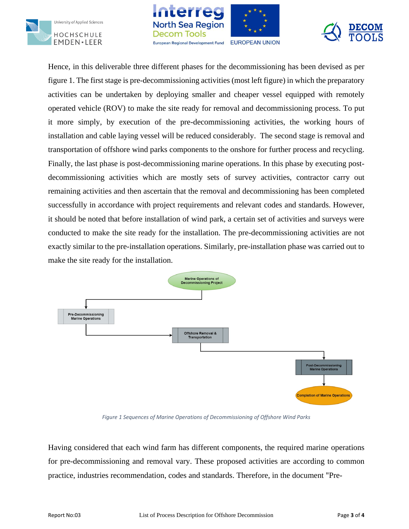





Hence, in this deliverable three different phases for the decommissioning has been devised as per figure 1. The first stage is pre-decommissioning activities (most left figure) in which the preparatory activities can be undertaken by deploying smaller and cheaper vessel equipped with remotely operated vehicle (ROV) to make the site ready for removal and decommissioning process. To put it more simply, by execution of the pre-decommissioning activities, the working hours of installation and cable laying vessel will be reduced considerably. The second stage is removal and transportation of offshore wind parks components to the onshore for further process and recycling. Finally, the last phase is post-decommissioning marine operations. In this phase by executing postdecommissioning activities which are mostly sets of survey activities, contractor carry out remaining activities and then ascertain that the removal and decommissioning has been completed successfully in accordance with project requirements and relevant codes and standards. However, it should be noted that before installation of wind park, a certain set of activities and surveys were conducted to make the site ready for the installation. The pre-decommissioning activities are not exactly similar to the pre-installation operations. Similarly, pre-installation phase was carried out to make the site ready for the installation.



*Figure 1 Sequences of Marine Operations of Decommissioning of Offshore Wind Parks*

Having considered that each wind farm has different components, the required marine operations for pre-decommissioning and removal vary. These proposed activities are according to common practice, industries recommendation, codes and standards. Therefore, in the document "Pre-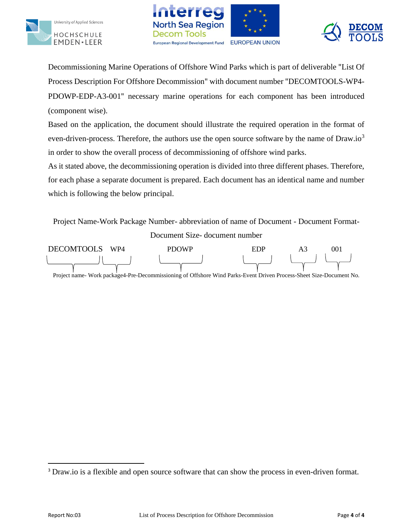





Decommissioning Marine Operations of Offshore Wind Parks which is part of deliverable "List Of Process Description For Offshore Decommission" with document number "DECOMTOOLS-WP4- PDOWP-EDP-A3-001" necessary marine operations for each component has been introduced (component wise).

Based on the application, the document should illustrate the required operation in the format of even-driven-process. Therefore, the authors use the open source software by the name of  $Draw.io<sup>3</sup>$ in order to show the overall process of decommissioning of offshore wind parks.

As it stated above, the decommissioning operation is divided into three different phases. Therefore, for each phase a separate document is prepared. Each document has an identical name and number which is following the below principal.

Project Name-Work Package Number- abbreviation of name of Document - Document Format-Document Size- document number



Project name- Work package4-Pre-Decommissioning of Offshore Wind Parks-Event Driven Process-Sheet Size-Document No.

<sup>&</sup>lt;sup>3</sup> Draw.io is a flexible and open source software that can show the process in even-driven format.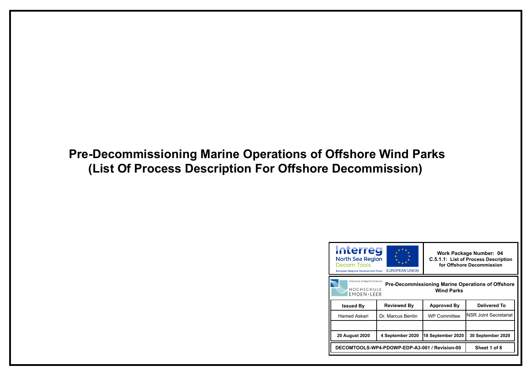## **Pre-Decommissioning Marine Operations of Offshore Wind Parks (List Of Process Description For Offshore Decommission)**

## **Pre-Decommissioning Marine Operations of Offshore Wind Parks**



| <b>Issued By</b>                              | <b>Reviewed By</b> | <b>Approved By</b>  | <b>Delivered To</b>          |
|-----------------------------------------------|--------------------|---------------------|------------------------------|
| Hamed Askari                                  | Dr. Marcus Bentin  | <b>WP Committee</b> | <b>NSR Joint Secretariat</b> |
|                                               |                    |                     |                              |
| <b>20 August 2020</b>                         | 4 September 2020   | 18 September 2020   | 30 September 2020            |
| DECOMTOOLS-WP4-PDOWP-EDP-A3-001 / Revision-00 |                    |                     | Sheet 1 of 8                 |

**Work Package Number: 04 C.5.1.1: List of Process Description for Offshore Decommission**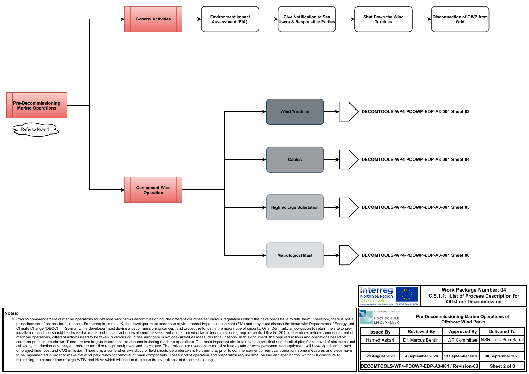

| <b>Issued By</b>                              | <b>Reviewed By</b> | Approved By       | <b>Delivered To</b>                  |
|-----------------------------------------------|--------------------|-------------------|--------------------------------------|
| Hamed Askari                                  | Dr. Marcus Bentin  |                   | WP Committee   NSR Joint Secretariat |
|                                               |                    |                   |                                      |
| <b>20 August 2020</b>                         | 4 September 2020   | 18 September 2020 | 30 September 2020                    |
| DECOMTOOLS-WP4-PDOWP-EDP-A3-001 / Revision-00 |                    |                   | Sheet 2 of 8                         |

## **Pre-Decommissioning Marine Operations of**

**Work Package Number: 04 C.5.1.1: List of Process Description for Offshore Decommission**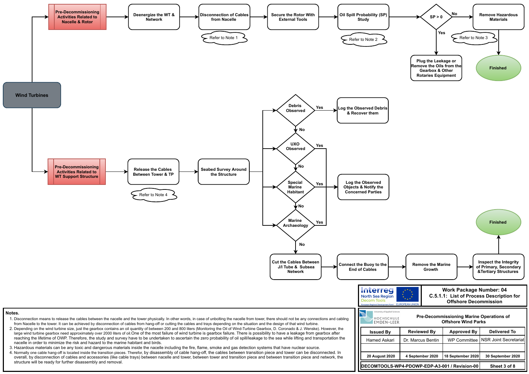







| <b>Issued By</b>                              | <b>Reviewed By</b> | <b>Approved By</b> | <b>Delivered To</b>                  |
|-----------------------------------------------|--------------------|--------------------|--------------------------------------|
| Hamed Askari                                  | Dr. Marcus Bentin  |                    | WP Committee   NSR Joint Secretariat |
|                                               |                    |                    |                                      |
| <b>20 August 2020</b>                         | 4 September 2020   | 18 September 2020  | 30 September 2020                    |
| DECOMTOOLS-WP4-PDOWP-EDP-A3-001 / Revision-00 |                    |                    | Sheet 3 of 8                         |

### **Pre-Decommissioning Marine Operations of Offshore Wind Parks**

**Work Package Number: 04 C.5.1.1: List of Process Description for Offshore Decommission**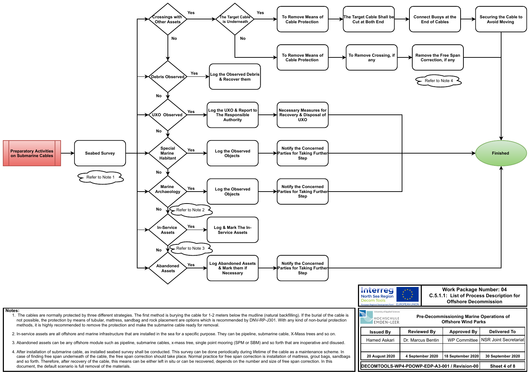

| <b>Issued By</b>                              | <b>Reviewed By</b> | <b>Approved By</b>  | <b>Delivered To</b>   |
|-----------------------------------------------|--------------------|---------------------|-----------------------|
| Hamed Askari                                  | Dr. Marcus Bentin  | <b>WP Committee</b> | NSR Joint Secretariat |
|                                               |                    |                     |                       |
| <b>20 August 2020</b>                         | 4 September 2020   | 18 September 2020   | 30 September 2020     |
| DECOMTOOLS-WP4-PDOWP-EDP-A3-001 / Revision-00 |                    |                     | Sheet 4 of 8          |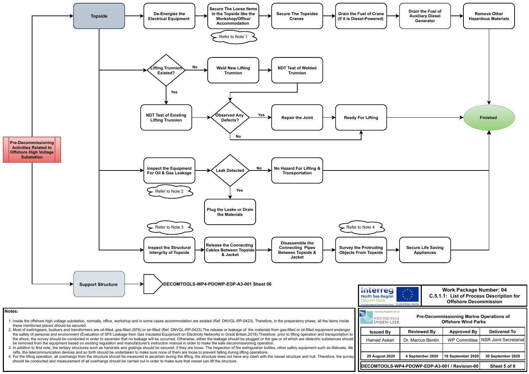4. For the lifting operation, all overhangs from the structure should be measured to ascertain during the lifting, the structure does not have any clash with the vessel structure and hull. Therefore, the survey should be conducted and measurement of all overhangs should be carried out in order to make sure that vessel can lift the structure.



| <b>Issued By</b>                              | <b>Reviewed By</b> | <b>Approved By</b> | <b>Delivered To</b>                  |
|-----------------------------------------------|--------------------|--------------------|--------------------------------------|
| Hamed Askari                                  | Dr. Marcus Bentin  |                    | WP Committee   NSR Joint Secretariat |
|                                               |                    |                    |                                      |
| <b>20 August 2020</b>                         | 4 September 2020   | 18 September 2020  | 30 September 2020                    |
| DECOMTOOLS-WP4-PDOWP-EDP-A3-001 / Revision-00 |                    |                    | Sheet 5 of 8                         |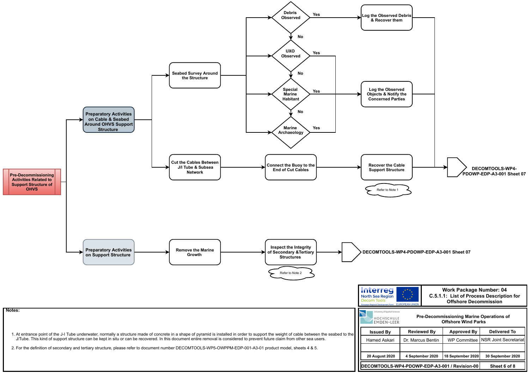| <b>Issued By</b>                              | <b>Reviewed By</b> | <b>Approved By</b>  | <b>Delivered To</b>   |
|-----------------------------------------------|--------------------|---------------------|-----------------------|
| Hamed Askari                                  | Dr. Marcus Bentin  | <b>WP Committee</b> | NSR Joint Secretariat |
|                                               |                    |                     |                       |
| <b>20 August 2020</b>                         | 4 September 2020   | 18 September 2020   | 30 September 2020     |
| DECOMTOOLS-WP4-PDOWP-EDP-A3-001 / Revision-00 |                    |                     | Sheet 6 of 8          |

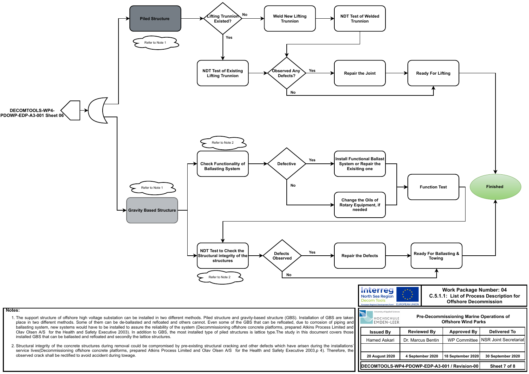

| <b>Issued By</b>                              | <b>Reviewed By</b> | <b>Approved By</b> | <b>Delivered To</b>                  |
|-----------------------------------------------|--------------------|--------------------|--------------------------------------|
| Hamed Askari                                  | Dr. Marcus Bentin  |                    | WP Committee   NSR Joint Secretariat |
|                                               |                    |                    |                                      |
| <b>20 August 2020</b>                         | 4 September 2020   | 18 September 2020  | 30 September 2020                    |
| DECOMTOOLS-WP4-PDOWP-EDP-A3-001 / Revision-00 |                    |                    | Sheet 7 of 8                         |